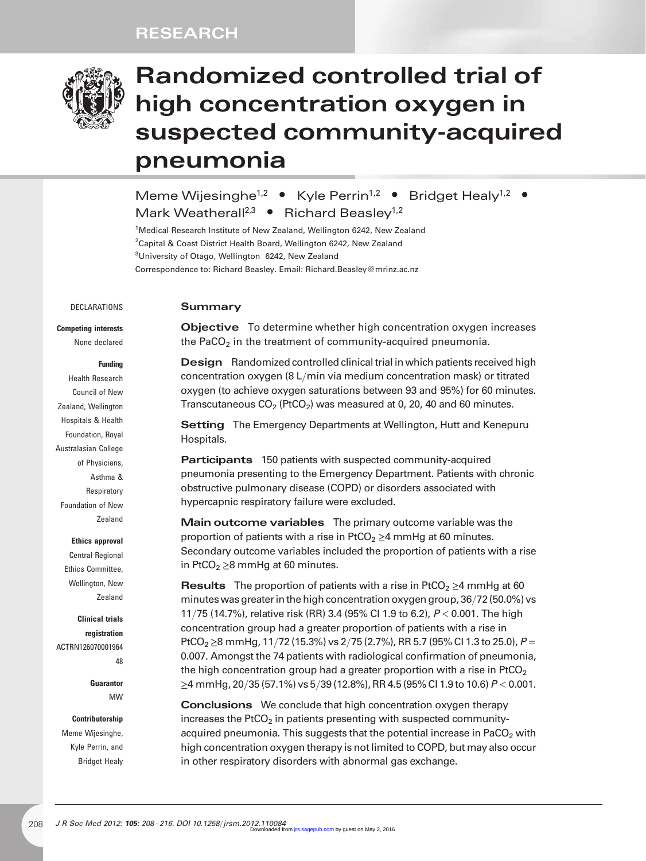## RESEARCH



# Randomized controlled trial of high concentration oxygen in suspected community-acquired pneumonia

Meme Wijesinghe<sup>1,2</sup> • Kyle Perrin<sup>1,2</sup> • Bridget Healy<sup>1,2</sup> • Mark Weatherall<sup>2,3</sup> • Richard Beasley<sup>1,2</sup>

<sup>1</sup>Medical Research Institute of New Zealand, Wellington 6242, New Zealand <sup>2</sup>Capital & Coast District Health Board, Wellington 6242, New Zealand <sup>3</sup>University of Otago, Wellington 6242, New Zealand Correspondence to: Richard Beasley. Email: [Richard.Beasley@mrinz.ac.nz](mailto:Richard.Beasley@mrinz.ac.nz)

#### DECLARATIONS

#### Summary

Competing interests

None declared

#### Funding

Health Research Council of New Zealand, Wellington Hospitals & Health Foundation, Royal Australasian College of Physicians, Asthma & **Respiratory** Foundation of New Zealand

#### Ethics approval

Central Regional Ethics Committee, Wellington, New Zealand

Clinical trials registration ACTRN126070001964 48

> Guarantor MW

## Contributorship Meme Wijesinghe,

Kyle Perrin, and Bridget Healy Objective To determine whether high concentration oxygen increases the PaCO<sub>2</sub> in the treatment of community-acquired pneumonia.

Design Randomized controlled clinical trial in which patients received high concentration oxygen (8 L/min via medium concentration mask) or titrated oxygen (to achieve oxygen saturations between 93 and 95%) for 60 minutes. Transcutaneous  $CO<sub>2</sub>$  (PtCO<sub>2</sub>) was measured at 0, 20, 40 and 60 minutes.

**Setting** The Emergency Departments at Wellington, Hutt and Kenepuru Hospitals.

Participants 150 patients with suspected community-acquired pneumonia presenting to the Emergency Department. Patients with chronic obstructive pulmonary disease (COPD) or disorders associated with hypercapnic respiratory failure were excluded.

Main outcome variables The primary outcome variable was the proportion of patients with a rise in PtCO<sub>2</sub>  $\geq$ 4 mmHg at 60 minutes. Secondary outcome variables included the proportion of patients with a rise in PtCO $<sub>2</sub>$   $>$ 8 mmHg at 60 minutes.</sub>

**Results** The proportion of patients with a rise in PtCO<sub>2</sub>  $\geq$ 4 mmHg at 60 minutes was greater in the high concentration oxygen group, 36/72 (50.0%) vs 11/75 (14.7%), relative risk (RR) 3.4 (95% CI 1.9 to 6.2), P < 0.001. The high concentration group had a greater proportion of patients with a rise in PtCO<sub>2</sub> ≥8 mmHg, 11/72 (15.3%) vs 2/75 (2.7%), RR 5.7 (95% CI 1.3 to 25.0),  $P =$ 0.007. Amongst the 74 patients with radiological confirmation of pneumonia, the high concentration group had a greater proportion with a rise in  $PtCO<sub>2</sub>$  $\geq$ 4 mmHg, 20/35 (57.1%) vs 5/39 (12.8%), RR 4.5 (95% CI 1.9 to 10.6) P < 0.001.

Conclusions We conclude that high concentration oxygen therapy increases the PtCO<sub>2</sub> in patients presenting with suspected communityacquired pneumonia. This suggests that the potential increase in PaCO<sub>2</sub> with high concentration oxygen therapy is not limited to COPD, but may also occur in other respiratory disorders with abnormal gas exchange.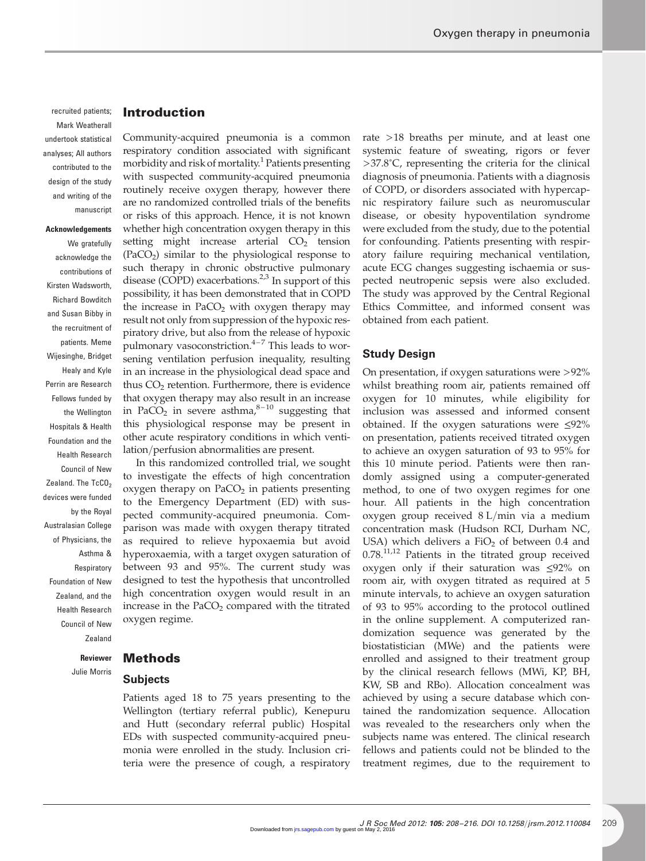## recruited patients; Mark Weatherall undertook statistical analyses; All authors contributed to the design of the study and writing of the manuscript

#### Acknowledgements

We gratefully acknowledge the contributions of Kirsten Wadsworth, Richard Bowditch and Susan Bibby in the recruitment of patients. Meme Wijesinghe, Bridget Healy and Kyle Perrin are Research Fellows funded by the Wellington Hospitals & Health Foundation and the Health Research Council of New Zealand. The  $TcCO<sub>2</sub>$ devices were funded by the Royal Australasian College of Physicians, the Asthma & Respiratory Foundation of New Zealand, and the Health Research Council of New Zealand

Introduction

Community-acquired pneumonia is a common respiratory condition associated with significant morbidity and risk of mortality.<sup>1</sup> Patients presenting with suspected community-acquired pneumonia routinely receive oxygen therapy, however there are no randomized controlled trials of the benefits or risks of this approach. Hence, it is not known whether high concentration oxygen therapy in this setting might increase arterial  $CO<sub>2</sub>$  tension  $(PaCO<sub>2</sub>)$  similar to the physiological response to such therapy in chronic obstructive pulmonary disease (COPD) exacerbations.<sup>2,3</sup> In support of this possibility, it has been demonstrated that in COPD the increase in PaCO<sub>2</sub> with oxygen therapy may result not only from suppression of the hypoxic respiratory drive, but also from the release of hypoxic pulmonary vasoconstriction. $4-7$  This leads to worsening ventilation perfusion inequality, resulting in an increase in the physiological dead space and thus  $CO<sub>2</sub>$  retention. Furthermore, there is evidence that oxygen therapy may also result in an increase in PaCO<sub>2</sub> in severe asthma, $8-10$  suggesting that this physiological response may be present in other acute respiratory conditions in which ventilation/perfusion abnormalities are present.

In this randomized controlled trial, we sought to investigate the effects of high concentration oxygen therapy on  $PaCO<sub>2</sub>$  in patients presenting to the Emergency Department (ED) with suspected community-acquired pneumonia. Comparison was made with oxygen therapy titrated as required to relieve hypoxaemia but avoid hyperoxaemia, with a target oxygen saturation of between 93 and 95%. The current study was designed to test the hypothesis that uncontrolled high concentration oxygen would result in an increase in the  $PaCO<sub>2</sub>$  compared with the titrated oxygen regime.

Methods Reviewer

Julie Morris

## Subjects

Patients aged 18 to 75 years presenting to the Wellington (tertiary referral public), Kenepuru and Hutt (secondary referral public) Hospital EDs with suspected community-acquired pneumonia were enrolled in the study. Inclusion criteria were the presence of cough, a respiratory

rate >18 breaths per minute, and at least one systemic feature of sweating, rigors or fever  $>37.8^{\circ}$ C, representing the criteria for the clinical diagnosis of pneumonia. Patients with a diagnosis of COPD, or disorders associated with hypercapnic respiratory failure such as neuromuscular disease, or obesity hypoventilation syndrome were excluded from the study, due to the potential for confounding. Patients presenting with respiratory failure requiring mechanical ventilation, acute ECG changes suggesting ischaemia or suspected neutropenic sepsis were also excluded. The study was approved by the Central Regional Ethics Committee, and informed consent was obtained from each patient.

## Study Design

On presentation, if oxygen saturations were >92% whilst breathing room air, patients remained off oxygen for 10 minutes, while eligibility for inclusion was assessed and informed consent obtained. If the oxygen saturations were ≤92% on presentation, patients received titrated oxygen to achieve an oxygen saturation of 93 to 95% for this 10 minute period. Patients were then randomly assigned using a computer-generated method, to one of two oxygen regimes for one hour. All patients in the high concentration oxygen group received 8 L/min via a medium concentration mask (Hudson RCI, Durham NC, USA) which delivers a  $FiO<sub>2</sub>$  of between 0.4 and  $0.78$ .<sup>11,12</sup> Patients in the titrated group received oxygen only if their saturation was ≤92% on room air, with oxygen titrated as required at 5 minute intervals, to achieve an oxygen saturation of 93 to 95% according to the protocol outlined in the online supplement. A computerized randomization sequence was generated by the biostatistician (MWe) and the patients were enrolled and assigned to their treatment group by the clinical research fellows (MWi, KP, BH, KW, SB and RBo). Allocation concealment was achieved by using a secure database which contained the randomization sequence. Allocation was revealed to the researchers only when the subjects name was entered. The clinical research fellows and patients could not be blinded to the treatment regimes, due to the requirement to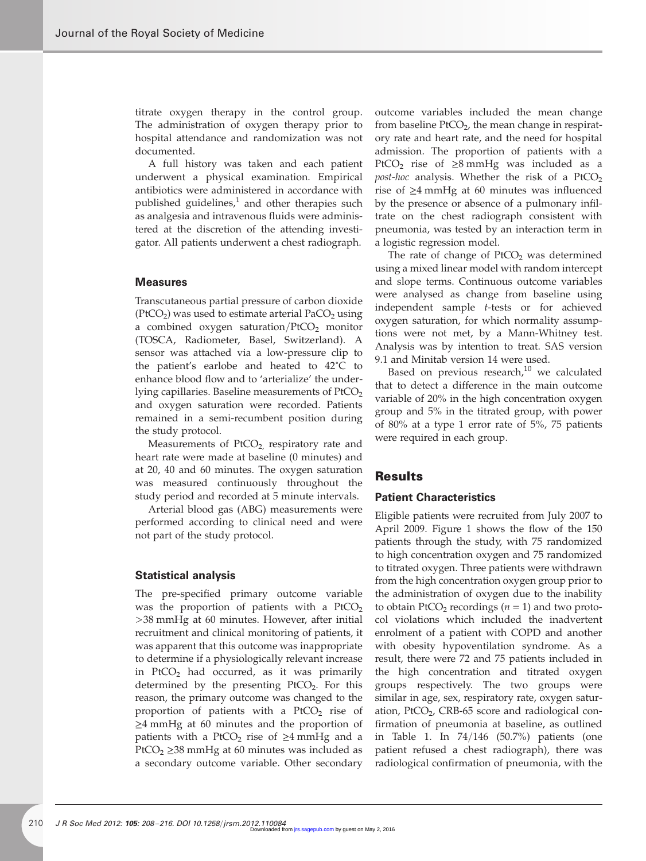titrate oxygen therapy in the control group. The administration of oxygen therapy prior to hospital attendance and randomization was not documented.

A full history was taken and each patient underwent a physical examination. Empirical antibiotics were administered in accordance with published guidelines, $\frac{1}{2}$  and other therapies such as analgesia and intravenous fluids were administered at the discretion of the attending investigator. All patients underwent a chest radiograph.

#### **Measures**

Transcutaneous partial pressure of carbon dioxide  $(PtCO<sub>2</sub>)$  was used to estimate arterial PaCO<sub>2</sub> using a combined oxygen saturation/ $PtCO<sub>2</sub>$  monitor (TOSCA, Radiometer, Basel, Switzerland). A sensor was attached via a low-pressure clip to the patient's earlobe and heated to 42˚C to enhance blood flow and to 'arterialize' the underlying capillaries. Baseline measurements of  $PtCO<sub>2</sub>$ and oxygen saturation were recorded. Patients remained in a semi-recumbent position during the study protocol.

Measurements of  $PtCO<sub>2</sub>$ , respiratory rate and heart rate were made at baseline (0 minutes) and at 20, 40 and 60 minutes. The oxygen saturation was measured continuously throughout the study period and recorded at 5 minute intervals.

Arterial blood gas (ABG) measurements were performed according to clinical need and were not part of the study protocol.

#### Statistical analysis

The pre-specified primary outcome variable was the proportion of patients with a  $PtCO<sub>2</sub>$ >38 mmHg at 60 minutes. However, after initial recruitment and clinical monitoring of patients, it was apparent that this outcome was inappropriate to determine if a physiologically relevant increase in PtCO<sub>2</sub> had occurred, as it was primarily determined by the presenting  $PtCO<sub>2</sub>$ . For this reason, the primary outcome was changed to the proportion of patients with a  $PtCO<sub>2</sub>$  rise of ≥4 mmHg at 60 minutes and the proportion of patients with a PtCO<sub>2</sub> rise of  $\geq$ 4 mmHg and a PtCO<sub>2</sub> ≥38 mmHg at 60 minutes was included as a secondary outcome variable. Other secondary outcome variables included the mean change from baseline  $PtCO<sub>2</sub>$ , the mean change in respiratory rate and heart rate, and the need for hospital admission. The proportion of patients with a PtCO<sub>2</sub> rise of  $\geq$ 8 mmHg was included as a *post-hoc* analysis. Whether the risk of a  $PtCO<sub>2</sub>$ rise of ≥4 mmHg at 60 minutes was influenced by the presence or absence of a pulmonary infiltrate on the chest radiograph consistent with pneumonia, was tested by an interaction term in a logistic regression model.

The rate of change of  $PtCO<sub>2</sub>$  was determined using a mixed linear model with random intercept and slope terms. Continuous outcome variables were analysed as change from baseline using independent sample t-tests or for achieved oxygen saturation, for which normality assumptions were not met, by a Mann-Whitney test. Analysis was by intention to treat. SAS version 9.1 and Minitab version 14 were used.

Based on previous research,<sup>10</sup> we calculated that to detect a difference in the main outcome variable of 20% in the high concentration oxygen group and 5% in the titrated group, with power of 80% at a type 1 error rate of 5%, 75 patients were required in each group.

## **Results**

### Patient Characteristics

Eligible patients were recruited from July 2007 to April 2009. Figure 1 shows the flow of the 150 patients through the study, with 75 randomized to high concentration oxygen and 75 randomized to titrated oxygen. Three patients were withdrawn from the high concentration oxygen group prior to the administration of oxygen due to the inability to obtain PtCO<sub>2</sub> recordings ( $n = 1$ ) and two protocol violations which included the inadvertent enrolment of a patient with COPD and another with obesity hypoventilation syndrome. As a result, there were 72 and 75 patients included in the high concentration and titrated oxygen groups respectively. The two groups were similar in age, sex, respiratory rate, oxygen saturation,  $PtCO<sub>2</sub>$ , CRB-65 score and radiological confirmation of pneumonia at baseline, as outlined in Table 1. In 74/146 (50.7%) patients (one patient refused a chest radiograph), there was radiological confirmation of pneumonia, with the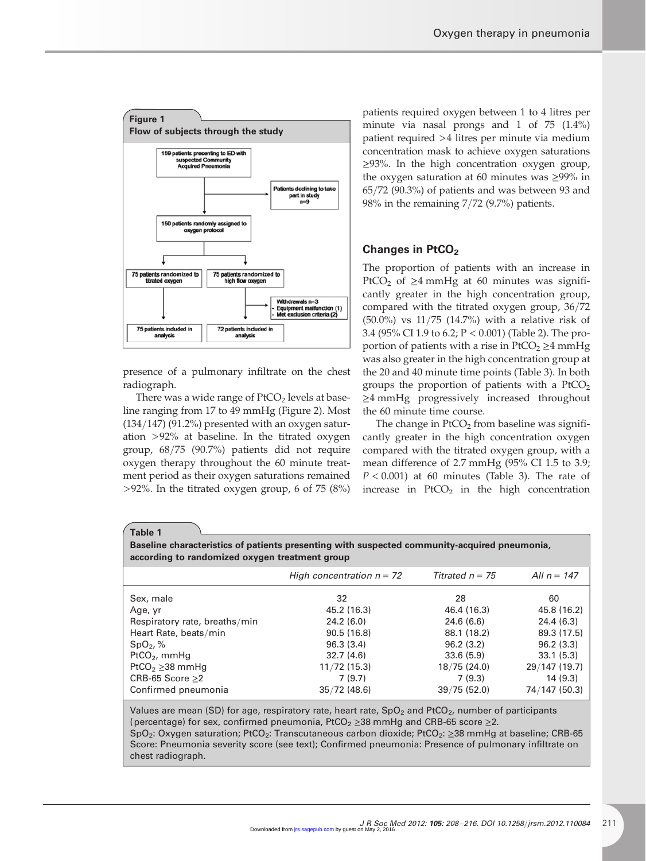

presence of a pulmonary infiltrate on the chest radiograph.

There was a wide range of  $PtCO<sub>2</sub>$  levels at baseline ranging from 17 to 49 mmHg (Figure 2). Most  $(134/147)$  (91.2%) presented with an oxygen saturation >92% at baseline. In the titrated oxygen group, 68/75 (90.7%) patients did not require oxygen therapy throughout the 60 minute treatment period as their oxygen saturations remained >92%. In the titrated oxygen group, 6 of 75 (8%)

patients required oxygen between 1 to 4 litres per minute via nasal prongs and 1 of 75 (1.4%) patient required >4 litres per minute via medium concentration mask to achieve oxygen saturations ≥93%. In the high concentration oxygen group, the oxygen saturation at 60 minutes was ≥99% in 65/72 (90.3%) of patients and was between 93 and 98% in the remaining 7/72 (9.7%) patients.

## Changes in PtCO<sub>2</sub>

The proportion of patients with an increase in PtCO<sub>2</sub> of  $\geq$ 4 mmHg at 60 minutes was significantly greater in the high concentration group, compared with the titrated oxygen group, 36/72 (50.0%) vs 11/75 (14.7%) with a relative risk of 3.4 (95% CI 1.9 to 6.2; P < 0.001) (Table 2). The proportion of patients with a rise in  $PtCO<sub>2</sub> \ge 4$  mmHg was also greater in the high concentration group at the 20 and 40 minute time points (Table 3). In both groups the proportion of patients with a  $PtCO<sub>2</sub>$ ≥4 mmHg progressively increased throughout the 60 minute time course.

The change in  $PtCO<sub>2</sub>$  from baseline was significantly greater in the high concentration oxygen compared with the titrated oxygen group, with a mean difference of 2.7 mmHg (95% CI 1.5 to 3.9;  $P < 0.001$ ) at 60 minutes (Table 3). The rate of increase in  $PtCO<sub>2</sub>$  in the high concentration

Table 1

Baseline characteristics of patients presenting with suspected community-acquired pneumonia, according to randomized oxygen treatment group

|                               | High concentration $n = 72$ | Titrated $n = 75$ | All $n = 147$ |
|-------------------------------|-----------------------------|-------------------|---------------|
| Sex, male                     | 32                          | 28                | 60            |
| Age, yr                       | 45.2 (16.3)                 | 46.4 (16.3)       | 45.8 (16.2)   |
| Respiratory rate, breaths/min | 24.2(6.0)                   | 24.6(6.6)         | 24.4 (6.3)    |
| Heart Rate, beats/min         | 90.5(16.8)                  | 88.1 (18.2)       | 89.3 (17.5)   |
| $SpO2, \%$                    | 96.3(3.4)                   | 96.2(3.2)         | 96.2(3.3)     |
| PtCO <sub>2</sub> , mmHq      | 32.7(4.6)                   | 33.6(5.9)         | 33.1(5.3)     |
| PtCO <sub>2</sub> $>$ 38 mmHq | $11/72$ (15.3)              | 18/75(24.0)       | 29/147 (19.7) |
| CRB-65 Score $\geq$ 2         | 7(9.7)                      | 7(9.3)            | 14 (9.3)      |
| Confirmed pneumonia           | $35/72$ (48.6)              | 39/75(52.0)       | 74/147 (50.3) |

Values are mean (SD) for age, respiratory rate, heart rate,  $SpO<sub>2</sub>$  and PtCO<sub>2</sub>, number of participants (percentage) for sex, confirmed pneumonia, PtCO<sub>2</sub> ≥38 mmHg and CRB-65 score ≥2. SpO<sub>2</sub>: Oxygen saturation; PtCO<sub>2</sub>: Transcutaneous carbon dioxide; PtCO<sub>2</sub>: ≥38 mmHg at baseline; CRB-65 Score: Pneumonia severity score (see text); Confirmed pneumonia: Presence of pulmonary infiltrate on chest radiograph.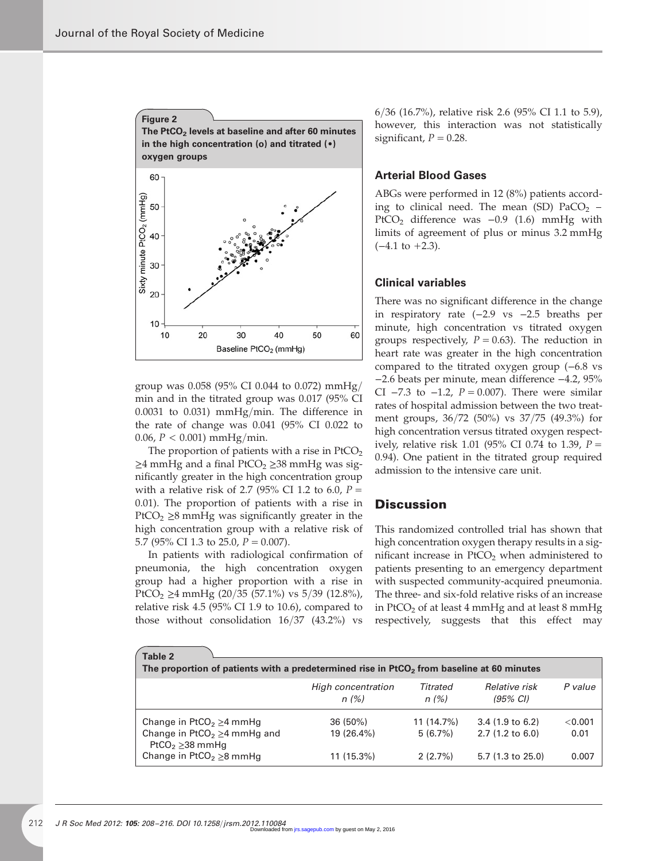

group was 0.058 (95% CI 0.044 to 0.072) mmHg/ min and in the titrated group was 0.017 (95% CI 0.0031 to 0.031) mmHg/min. The difference in the rate of change was 0.041 (95% CI 0.022 to 0.06,  $P < 0.001$ ) mmHg/min.

The proportion of patients with a rise in  $PtCO<sub>2</sub>$  $\geq$ 4 mmHg and a final PtCO<sub>2</sub>  $\geq$ 38 mmHg was significantly greater in the high concentration group with a relative risk of 2.7 (95% CI 1.2 to 6.0,  $P =$ 0.01). The proportion of patients with a rise in PtCO<sub>2</sub>  $\geq$ 8 mmHg was significantly greater in the high concentration group with a relative risk of 5.7 (95% CI 1.3 to 25.0,  $P = 0.007$ ).

In patients with radiological confirmation of pneumonia, the high concentration oxygen group had a higher proportion with a rise in PtCO<sub>2</sub> ≥4 mmHg (20/35 (57.1%) vs 5/39 (12.8%), relative risk 4.5 (95% CI 1.9 to 10.6), compared to those without consolidation 16/37 (43.2%) vs 6/36 (16.7%), relative risk 2.6 (95% CI 1.1 to 5.9), however, this interaction was not statistically significant,  $P = 0.28$ .

## Arterial Blood Gases

ABGs were performed in 12 (8%) patients according to clinical need. The mean (SD)  $PaCO<sub>2</sub>$  – PtCO2 difference was −0.9 (1.6) mmHg with limits of agreement of plus or minus 3.2 mmHg  $(-4.1 \text{ to } +2.3)$ .

## Clinical variables

There was no significant difference in the change in respiratory rate (−2.9 vs −2.5 breaths per minute, high concentration vs titrated oxygen groups respectively,  $P = 0.63$ ). The reduction in heart rate was greater in the high concentration compared to the titrated oxygen group (−6.8 vs −2.6 beats per minute, mean difference −4.2, 95% CI  $-7.3$  to  $-1.2$ ,  $P = 0.007$ ). There were similar rates of hospital admission between the two treatment groups, 36/72 (50%) vs 37/75 (49.3%) for high concentration versus titrated oxygen respectively, relative risk 1.01 (95% CI 0.74 to 1.39,  $P =$ 0.94). One patient in the titrated group required admission to the intensive care unit.

## **Discussion**

This randomized controlled trial has shown that high concentration oxygen therapy results in a significant increase in  $PtCO<sub>2</sub>$  when administered to patients presenting to an emergency department with suspected community-acquired pneumonia. The three- and six-fold relative risks of an increase in PtCO<sub>2</sub> of at least 4 mmHg and at least 8 mmHg respectively, suggests that this effect may

| Table 2                                                                                                                        |                                                                                                       |                    |                                                 |               |  |  |  |
|--------------------------------------------------------------------------------------------------------------------------------|-------------------------------------------------------------------------------------------------------|--------------------|-------------------------------------------------|---------------|--|--|--|
|                                                                                                                                | The proportion of patients with a predetermined rise in PtCO <sub>2</sub> from baseline at 60 minutes |                    |                                                 |               |  |  |  |
|                                                                                                                                | High concentration<br>n(%)                                                                            | Titrated<br>n(%)   | Relative risk<br>$(95\% \text{ Cl})$            | P value       |  |  |  |
| Change in PtCO <sub>2</sub> $\geq$ 4 mmHg                                                                                      | 36 (50%)                                                                                              | 11 (14.7%)         | $3.4(1.9 \text{ to } 6.2)$                      | < 0.001       |  |  |  |
| Change in PtCO <sub>2</sub> $\geq$ 4 mmHg and<br>PtCO <sub>2</sub> $\geq$ 38 mmHq<br>Change in PtCO <sub>2</sub> $\geq$ 8 mmHg | 19 (26.4%)<br>11 (15.3%)                                                                              | 5(6.7%)<br>2(2.7%) | $2.7(1.2 \text{ to } 6.0)$<br>5.7 (1.3 to 25.0) | 0.01<br>0.007 |  |  |  |
|                                                                                                                                |                                                                                                       |                    |                                                 |               |  |  |  |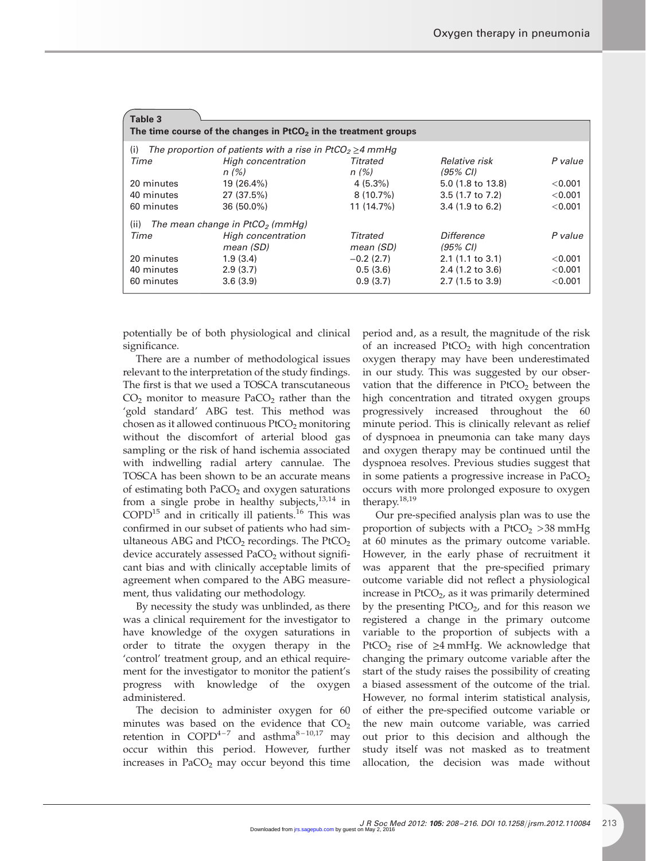| Table 3                                                           |                                                                           |              |                            |         |  |  |  |  |
|-------------------------------------------------------------------|---------------------------------------------------------------------------|--------------|----------------------------|---------|--|--|--|--|
| The time course of the changes in $PtCO2$ in the treatment groups |                                                                           |              |                            |         |  |  |  |  |
| (i)                                                               | The proportion of patients with a rise in PtCO <sub>2</sub> $\geq$ 4 mmHg |              |                            |         |  |  |  |  |
| Time                                                              | High concentration                                                        | Titrated     | <i>Relative risk</i>       | P value |  |  |  |  |
|                                                                   | n(%)                                                                      | n(%)         | $(95\% \; \text{Cl})$      |         |  |  |  |  |
| 20 minutes                                                        | 19 (26.4%)                                                                | $4(5.3\%)$   | 5.0 (1.8 to 13.8)          | < 0.001 |  |  |  |  |
| 40 minutes                                                        | 27 (37.5%)                                                                | $8(10.7\%)$  | 3.5 (1.7 to 7.2)           | < 0.001 |  |  |  |  |
| 60 minutes                                                        | $36(50.0\%)$                                                              | 11(14.7%)    | $3.4(1.9 \text{ to } 6.2)$ | < 0.001 |  |  |  |  |
| (ii)<br>The mean change in $PtCO2$ (mmHg)                         |                                                                           |              |                            |         |  |  |  |  |
| Time                                                              | High concentration                                                        | Titrated     | Difference                 | P value |  |  |  |  |
|                                                                   | mean (SD)                                                                 | mean (SD)    | $(95\% \; \text{Cl})$      |         |  |  |  |  |
| 20 minutes                                                        | 1.9(3.4)                                                                  | $-0.2$ (2.7) | 2.1(1.1 to 3.1)            | < 0.001 |  |  |  |  |
| 40 minutes                                                        | 2.9(3.7)                                                                  | 0.5(3.6)     | 2.4 (1.2 to 3.6)           | < 0.001 |  |  |  |  |
| 60 minutes                                                        | 3.6(3.9)                                                                  | 0.9(3.7)     | $2.7(1.5 \text{ to } 3.9)$ | < 0.001 |  |  |  |  |

potentially be of both physiological and clinical significance.

There are a number of methodological issues relevant to the interpretation of the study findings. The first is that we used a TOSCA transcutaneous  $CO<sub>2</sub>$  monitor to measure PaCO<sub>2</sub> rather than the 'gold standard' ABG test. This method was chosen as it allowed continuous  $PtCO<sub>2</sub>$  monitoring without the discomfort of arterial blood gas sampling or the risk of hand ischemia associated with indwelling radial artery cannulae. The TOSCA has been shown to be an accurate means of estimating both  $PaCO<sub>2</sub>$  and oxygen saturations from a single probe in healthy subjects, $13,14$  in  $COPD<sup>15</sup>$  and in critically ill patients.<sup>16</sup> This was confirmed in our subset of patients who had simultaneous ABG and  $PtCO<sub>2</sub>$  recordings. The  $PtCO<sub>2</sub>$ device accurately assessed  $PaCO<sub>2</sub>$  without significant bias and with clinically acceptable limits of agreement when compared to the ABG measurement, thus validating our methodology.

By necessity the study was unblinded, as there was a clinical requirement for the investigator to have knowledge of the oxygen saturations in order to titrate the oxygen therapy in the 'control' treatment group, and an ethical requirement for the investigator to monitor the patient's progress with knowledge of the oxygen administered.

The decision to administer oxygen for 60 minutes was based on the evidence that  $CO<sub>2</sub>$ retention in  $COPD^{4-7}$  and asthma<sup>8-10,17</sup> may occur within this period. However, further increases in  $PaCO<sub>2</sub>$  may occur beyond this time

period and, as a result, the magnitude of the risk of an increased  $PtCO<sub>2</sub>$  with high concentration oxygen therapy may have been underestimated in our study. This was suggested by our observation that the difference in  $PtCO<sub>2</sub>$  between the high concentration and titrated oxygen groups progressively increased throughout the 60 minute period. This is clinically relevant as relief of dyspnoea in pneumonia can take many days and oxygen therapy may be continued until the dyspnoea resolves. Previous studies suggest that in some patients a progressive increase in  $PaCO<sub>2</sub>$ occurs with more prolonged exposure to oxygen therapy.18,19

Our pre-specified analysis plan was to use the proportion of subjects with a  $PtCO<sub>2</sub> > 38$  mmHg at 60 minutes as the primary outcome variable. However, in the early phase of recruitment it was apparent that the pre-specified primary outcome variable did not reflect a physiological increase in  $PtCO<sub>2</sub>$ , as it was primarily determined by the presenting  $PtCO<sub>2</sub>$ , and for this reason we registered a change in the primary outcome variable to the proportion of subjects with a PtCO<sub>2</sub> rise of  $\geq$ 4 mmHg. We acknowledge that changing the primary outcome variable after the start of the study raises the possibility of creating a biased assessment of the outcome of the trial. However, no formal interim statistical analysis, of either the pre-specified outcome variable or the new main outcome variable, was carried out prior to this decision and although the study itself was not masked as to treatment allocation, the decision was made without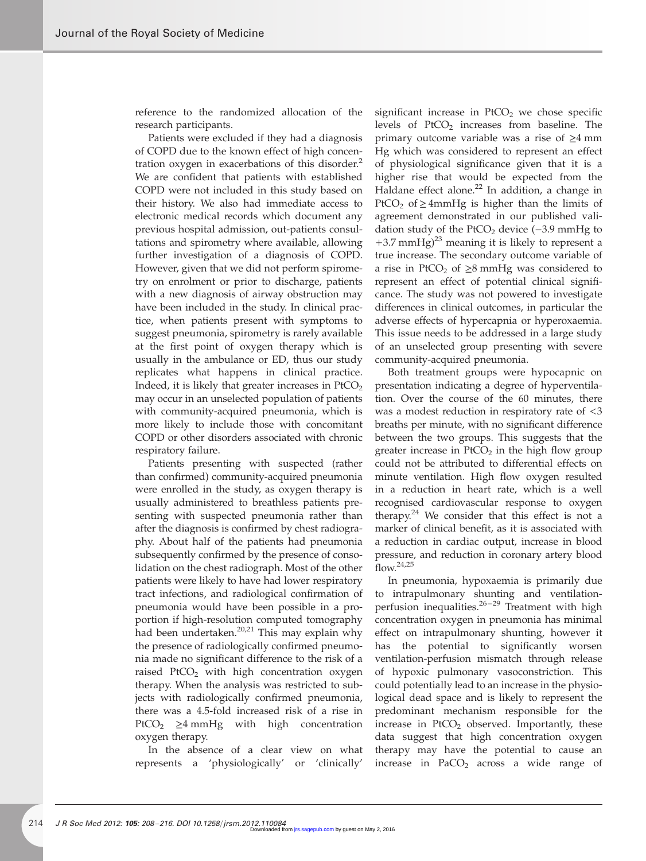reference to the randomized allocation of the research participants.

Patients were excluded if they had a diagnosis of COPD due to the known effect of high concentration oxygen in exacerbations of this disorder.<sup>2</sup> We are confident that patients with established COPD were not included in this study based on their history. We also had immediate access to electronic medical records which document any previous hospital admission, out-patients consultations and spirometry where available, allowing further investigation of a diagnosis of COPD. However, given that we did not perform spirometry on enrolment or prior to discharge, patients with a new diagnosis of airway obstruction may have been included in the study. In clinical practice, when patients present with symptoms to suggest pneumonia, spirometry is rarely available at the first point of oxygen therapy which is usually in the ambulance or ED, thus our study replicates what happens in clinical practice. Indeed, it is likely that greater increases in  $PtCO<sub>2</sub>$ may occur in an unselected population of patients with community-acquired pneumonia, which is more likely to include those with concomitant COPD or other disorders associated with chronic respiratory failure.

Patients presenting with suspected (rather than confirmed) community-acquired pneumonia were enrolled in the study, as oxygen therapy is usually administered to breathless patients presenting with suspected pneumonia rather than after the diagnosis is confirmed by chest radiography. About half of the patients had pneumonia subsequently confirmed by the presence of consolidation on the chest radiograph. Most of the other patients were likely to have had lower respiratory tract infections, and radiological confirmation of pneumonia would have been possible in a proportion if high-resolution computed tomography had been undertaken.<sup>20,21</sup> This may explain why the presence of radiologically confirmed pneumonia made no significant difference to the risk of a raised PtCO<sub>2</sub> with high concentration oxygen therapy. When the analysis was restricted to subjects with radiologically confirmed pneumonia, there was a 4.5-fold increased risk of a rise in PtCO<sub>2</sub> ≥4 mmHg with high concentration oxygen therapy.

In the absence of a clear view on what represents a 'physiologically' or 'clinically'

significant increase in  $PtCO<sub>2</sub>$  we chose specific levels of  $PtCO<sub>2</sub>$  increases from baseline. The primary outcome variable was a rise of  $\geq 4$  mm Hg which was considered to represent an effect of physiological significance given that it is a higher rise that would be expected from the Haldane effect alone.<sup>22</sup> In addition, a change in PtCO<sub>2</sub> of  $\geq$  4mmHg is higher than the limits of agreement demonstrated in our published validation study of the PtCO<sub>2</sub> device  $(-3.9 \text{ mmHg to})$  $+3.7$  mmHg)<sup>23</sup> meaning it is likely to represent a true increase. The secondary outcome variable of a rise in PtCO<sub>2</sub> of  $\geq$ 8 mmHg was considered to represent an effect of potential clinical significance. The study was not powered to investigate differences in clinical outcomes, in particular the adverse effects of hypercapnia or hyperoxaemia. This issue needs to be addressed in a large study of an unselected group presenting with severe community-acquired pneumonia.

Both treatment groups were hypocapnic on presentation indicating a degree of hyperventilation. Over the course of the 60 minutes, there was a modest reduction in respiratory rate of <3 breaths per minute, with no significant difference between the two groups. This suggests that the greater increase in  $PtCO<sub>2</sub>$  in the high flow group could not be attributed to differential effects on minute ventilation. High flow oxygen resulted in a reduction in heart rate, which is a well recognised cardiovascular response to oxygen therapy.<sup>24</sup> We consider that this effect is not a marker of clinical benefit, as it is associated with a reduction in cardiac output, increase in blood pressure, and reduction in coronary artery blood  $\int$ flow.<sup>24,25</sup>

In pneumonia, hypoxaemia is primarily due to intrapulmonary shunting and ventilationperfusion inequalities. $26 - 29$  Treatment with high concentration oxygen in pneumonia has minimal effect on intrapulmonary shunting, however it has the potential to significantly worsen ventilation-perfusion mismatch through release of hypoxic pulmonary vasoconstriction. This could potentially lead to an increase in the physiological dead space and is likely to represent the predominant mechanism responsible for the increase in  $PtCO<sub>2</sub>$  observed. Importantly, these data suggest that high concentration oxygen therapy may have the potential to cause an increase in  $PaCO<sub>2</sub>$  across a wide range of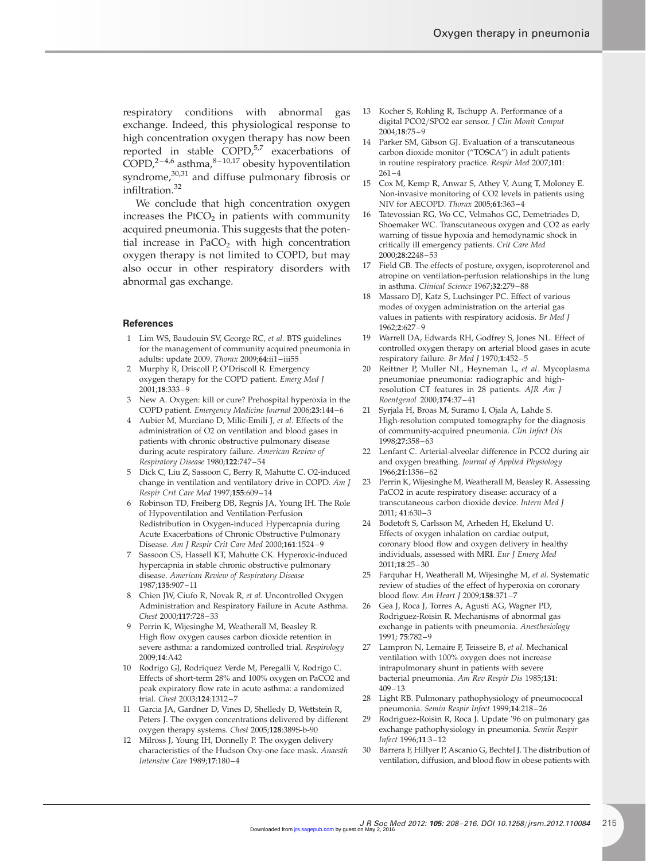respiratory conditions with abnormal gas exchange. Indeed, this physiological response to high concentration oxygen therapy has now been reported in stable  $COPD<sub>0</sub><sup>5,7</sup>$  exacerbations of COPD,<sup>2-4,6</sup> asthma,<sup>8-10,17</sup> obesity hypoventilation syndrome,<sup>30,31</sup> and diffuse pulmonary fibrosis or infiltration.<sup>32</sup>

We conclude that high concentration oxygen increases the  $PtCO<sub>2</sub>$  in patients with community acquired pneumonia. This suggests that the potential increase in  $PaCO<sub>2</sub>$  with high concentration oxygen therapy is not limited to COPD, but may also occur in other respiratory disorders with abnormal gas exchange.

#### **References**

- 1 Lim WS, Baudouin SV, George RC, et al. BTS guidelines for the management of community acquired pneumonia in adults: update 2009. Thorax 2009;64:ii1 –iii55
- 2 Murphy R, Driscoll P, O'Driscoll R. Emergency oxygen therapy for the COPD patient. Emerg Med J 2001;18:333 – 9
- 3 New A. Oxygen: kill or cure? Prehospital hyperoxia in the COPD patient. Emergency Medicine Journal 2006;23:144 –6
- 4 Aubier M, Murciano D, Milic-Emili J, et al. Effects of the administration of O2 on ventilation and blood gases in patients with chronic obstructive pulmonary disease during acute respiratory failure. American Review of Respiratory Disease 1980;122:747 –54
- 5 Dick C, Liu Z, Sassoon C, Berry R, Mahutte C. O2-induced change in ventilation and ventilatory drive in COPD. Am J Respir Crit Care Med 1997;155:609 – 14
- 6 Robinson TD, Freiberg DB, Regnis JA, Young IH. The Role of Hypoventilation and Ventilation-Perfusion Redistribution in Oxygen-induced Hypercapnia during Acute Exacerbations of Chronic Obstructive Pulmonary Disease. Am J Respir Crit Care Med 2000;161:1524-9
- 7 Sassoon CS, Hassell KT, Mahutte CK. Hyperoxic-induced hypercapnia in stable chronic obstructive pulmonary disease. American Review of Respiratory Disease 1987;135:907 – 11
- 8 Chien JW, Ciufo R, Novak R, et al. Uncontrolled Oxygen Administration and Respiratory Failure in Acute Asthma. Chest 2000;117:728 –33
- 9 Perrin K, Wijesinghe M, Weatherall M, Beasley R. High flow oxygen causes carbon dioxide retention in severe asthma: a randomized controlled trial. Respirology 2009;14:A42
- 10 Rodrigo GJ, Rodriquez Verde M, Peregalli V, Rodrigo C. Effects of short-term 28% and 100% oxygen on PaCO2 and peak expiratory flow rate in acute asthma: a randomized trial. Chest 2003;124:1312 –7
- 11 Garcia JA, Gardner D, Vines D, Shelledy D, Wettstein R, Peters J. The oxygen concentrations delivered by different oxygen therapy systems. Chest 2005;128:389S-b-90
- Milross J, Young IH, Donnelly P. The oxygen delivery characteristics of the Hudson Oxy-one face mask. Anaesth Intensive Care 1989;17:180 – 4
- 13 Kocher S, Rohling R, Tschupp A. Performance of a digital PCO2/SPO2 ear sensor. J Clin Monit Comput 2004;18:75 –9
- 14 Parker SM, Gibson GJ. Evaluation of a transcutaneous carbon dioxide monitor ("TOSCA") in adult patients in routine respiratory practice. Respir Med 2007;101:  $261 - 4$
- 15 Cox M, Kemp R, Anwar S, Athey V, Aung T, Moloney E. Non-invasive monitoring of CO2 levels in patients using NIV for AECOPD. Thorax 2005;61:363 – 4
- 16 Tatevossian RG, Wo CC, Velmahos GC, Demetriades D, Shoemaker WC. Transcutaneous oxygen and CO2 as early warning of tissue hypoxia and hemodynamic shock in critically ill emergency patients. Crit Care Med 2000;28:2248 – 53
- 17 Field GB. The effects of posture, oxygen, isoproterenol and atropine on ventilation-perfusion relationships in the lung in asthma. Clinical Science 1967;32:279 –88
- 18 Massaro DJ, Katz S, Luchsinger PC. Effect of various modes of oxygen administration on the arterial gas values in patients with respiratory acidosis. Br Med J 1962;2:627 –9
- 19 Warrell DA, Edwards RH, Godfrey S, Jones NL. Effect of controlled oxygen therapy on arterial blood gases in acute respiratory failure. Br Med J 1970;1:452 – 5
- 20 Reittner P, Muller NL, Heyneman L, et al. Mycoplasma pneumoniae pneumonia: radiographic and highresolution CT features in 28 patients. AJR Am J Roentgenol 2000;174:37 – 41
- Syrjala H, Broas M, Suramo I, Ojala A, Lahde S. High-resolution computed tomography for the diagnosis of community-acquired pneumonia. Clin Infect Dis 1998;27:358 – 63
- 22 Lenfant C. Arterial-alveolar difference in PCO2 during air and oxygen breathing. Journal of Applied Physiology 1966;21:1356 – 62
- 23 Perrin K, Wijesinghe M, Weatherall M, Beasley R. Assessing PaCO2 in acute respiratory disease: accuracy of a transcutaneous carbon dioxide device. Intern Med J 2011; 41:630 –3
- 24 Bodetoft S, Carlsson M, Arheden H, Ekelund U. Effects of oxygen inhalation on cardiac output, coronary blood flow and oxygen delivery in healthy individuals, assessed with MRI. Eur J Emerg Med 2011;18:25 – 30
- 25 Farquhar H, Weatherall M, Wijesinghe M, et al. Systematic review of studies of the effect of hyperoxia on coronary blood flow. Am Heart J 2009;158:371 –7
- 26 Gea J, Roca J, Torres A, Agusti AG, Wagner PD, Rodriguez-Roisin R. Mechanisms of abnormal gas exchange in patients with pneumonia. Anesthesiology 1991; 75:782 –9
- 27 Lampron N, Lemaire F, Teisseire B, et al. Mechanical ventilation with 100% oxygen does not increase intrapulmonary shunt in patients with severe bacterial pneumonia. Am Rev Respir Dis 1985;131: 409 –13
- 28 Light RB. Pulmonary pathophysiology of pneumococcal pneumonia. Semin Respir Infect 1999;14:218 – 26
- 29 Rodriguez-Roisin R, Roca J. Update '96 on pulmonary gas exchange pathophysiology in pneumonia. Semin Respir Infect 1996;11:3 –12
- 30 Barrera F, Hillyer P, Ascanio G, Bechtel J. The distribution of ventilation, diffusion, and blood flow in obese patients with